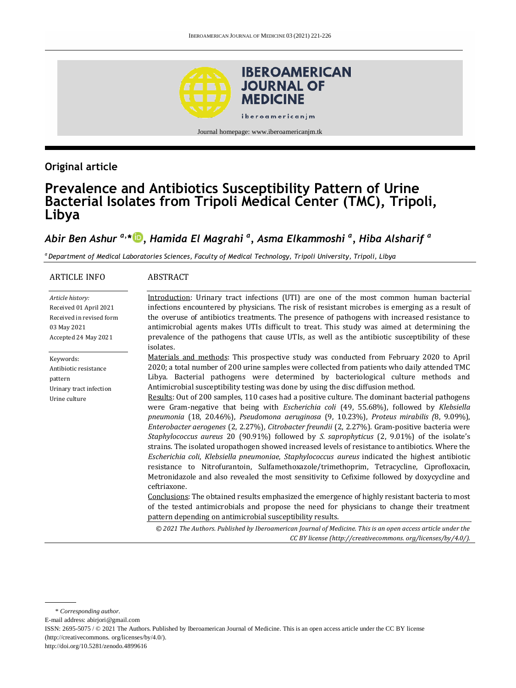

## **Original article**

# **Prevalence and Antibiotics Susceptibility Pattern of Urine Bacterial Isolates from Tripoli Medical Center (TMC), Tripoli, Libya**

## *Abir Ben Ashur a,\* [,](https://orcid.org/0000-0001-7265-313X) Hamida El Magrahi <sup>a</sup> , Asma Elkammoshi <sup>a</sup> , Hiba Alsharif <sup>a</sup>*

*<sup>a</sup>Department of Medical Laboratories Sciences, Faculty of Medical Technology, Tripoli University, Tripoli, Libya*

| ARTICLE INFO                                                                                                  | <b>ABSTRACT</b>                                                                                                                                                                                                                                                                                                                                                                                                                                                                                                                                                                                                                                                                                                                                                                                                                                                                                                                                                                                                                                                                                                                                                                                                                                                                                                                                                                                                                                                                                                                                    |
|---------------------------------------------------------------------------------------------------------------|----------------------------------------------------------------------------------------------------------------------------------------------------------------------------------------------------------------------------------------------------------------------------------------------------------------------------------------------------------------------------------------------------------------------------------------------------------------------------------------------------------------------------------------------------------------------------------------------------------------------------------------------------------------------------------------------------------------------------------------------------------------------------------------------------------------------------------------------------------------------------------------------------------------------------------------------------------------------------------------------------------------------------------------------------------------------------------------------------------------------------------------------------------------------------------------------------------------------------------------------------------------------------------------------------------------------------------------------------------------------------------------------------------------------------------------------------------------------------------------------------------------------------------------------------|
| Article history:<br>Received 01 April 2021<br>Received in revised form<br>03 May 2021<br>Accepted 24 May 2021 | Introduction: Urinary tract infections (UTI) are one of the most common human bacterial<br>infections encountered by physicians. The risk of resistant microbes is emerging as a result of<br>the overuse of antibiotics treatments. The presence of pathogens with increased resistance to<br>antimicrobial agents makes UTIs difficult to treat. This study was aimed at determining the<br>prevalence of the pathogens that cause UTIs, as well as the antibiotic susceptibility of these<br>isolates.                                                                                                                                                                                                                                                                                                                                                                                                                                                                                                                                                                                                                                                                                                                                                                                                                                                                                                                                                                                                                                          |
| Keywords:<br>Antibiotic resistance<br>pattern<br>Urinary tract infection<br>Urine culture                     | Materials and methods: This prospective study was conducted from February 2020 to April<br>2020; a total number of 200 urine samples were collected from patients who daily attended TMC<br>Libya. Bacterial pathogens were determined by bacteriological culture methods and<br>Antimicrobial susceptibility testing was done by using the disc diffusion method.<br>Results: Out of 200 samples, 110 cases had a positive culture. The dominant bacterial pathogens<br>were Gram-negative that being with Escherichia coli (49, 55.68%), followed by Klebsiella<br>pneumonia (18, 20.46%), Pseudomona aeruginosa (9, 10.23%), Proteus mirabilis (8, 9.09%),<br>Enterobacter aerogenes (2, 2.27%), Citrobacter freundii (2, 2.27%). Gram-positive bacteria were<br>Staphylococcus aureus 20 (90.91%) followed by S. saprophyticus (2, 9.01%) of the isolate's<br>strains. The isolated uropathogen showed increased levels of resistance to antibiotics. Where the<br>Escherichia coli, Klebsiella pneumoniae, Staphylococcus aureus indicated the highest antibiotic<br>resistance to Nitrofurantoin, Sulfamethoxazole/trimethoprim, Tetracycline, Ciprofloxacin,<br>Metronidazole and also revealed the most sensitivity to Cefixime followed by doxycycline and<br>ceftriaxone.<br>Conclusions: The obtained results emphasized the emergence of highly resistant bacteria to most<br>of the tested antimicrobials and propose the need for physicians to change their treatment<br>pattern depending on antimicrobial susceptibility results. |
|                                                                                                               | © 2021 The Authors. Published by Iberoamerican Journal of Medicine. This is an open access article under the<br>CC BY license (http://creativecommons.org/licenses/by/4.0/).                                                                                                                                                                                                                                                                                                                                                                                                                                                                                                                                                                                                                                                                                                                                                                                                                                                                                                                                                                                                                                                                                                                                                                                                                                                                                                                                                                       |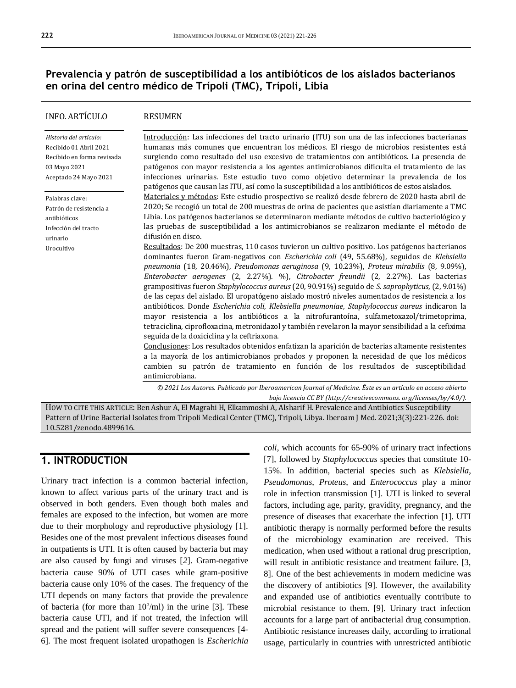### **Prevalencia y patrón de susceptibilidad a los antibióticos de los aislados bacterianos en orina del centro médico de Trípoli (TMC), Trípoli, Libia**

#### INFO. ARTÍCULO

#### RESUMEN

*Historia del artículo:*  Recibido 01 Abril 2021 Recibido en forma revisada 03 Mayo 2021 Aceptado 24 Mayo 2021

Palabras clave: Patrón de resistencia a antibióticos Infección del tracto urinario Urocultivo

Introducción: Las infecciones del tracto urinario (ITU) son una de las infecciones bacterianas humanas más comunes que encuentran los médicos. El riesgo de microbios resistentes está surgiendo como resultado del uso excesivo de tratamientos con antibióticos. La presencia de patógenos con mayor resistencia a los agentes antimicrobianos dificulta el tratamiento de las infecciones urinarias. Este estudio tuvo como objetivo determinar la prevalencia de los patógenos que causan las ITU, así como la susceptibilidad a los antibióticos de estos aislados.

Materiales y métodos: Este estudio prospectivo se realizó desde febrero de 2020 hasta abril de 2020; Se recogió un total de 200 muestras de orina de pacientes que asistían diariamente a TMC Libia. Los patógenos bacterianos se determinaron mediante métodos de cultivo bacteriológico y las pruebas de susceptibilidad a los antimicrobianos se realizaron mediante el método de difusión en disco.

Resultados: De 200 muestras, 110 casos tuvieron un cultivo positivo. Los patógenos bacterianos dominantes fueron Gram-negativos con *Escherichia coli* (49, 55.68%), seguidos de *Klebsiella pneumonia* (18, 20.46%), *Pseudomonas aeruginosa* (9, 10.23%), *Proteus mirabilis* (8, 9.09%), *Enterobacter aerogenes* (2, 2.27%). %), *Citrobacter freundii* (2, 2.27%). Las bacterias grampositivas fueron *Staphylococcus aureus* (20, 90.91%) seguido de *S. saprophyticus*, (2, 9.01%) de las cepas del aislado. El uropatógeno aislado mostró niveles aumentados de resistencia a los antibióticos. Donde *Escherichia coli*, *Klebsiella pneumoniae*, *Staphylococcus aureus* indicaron la mayor resistencia a los antibióticos a la nitrofurantoína, sulfametoxazol/trimetoprima, tetraciclina, ciprofloxacina, metronidazol y también revelaron la mayor sensibilidad a la cefixima seguida de la doxiciclina y la ceftriaxona.

Conclusiones: Los resultados obtenidos enfatizan la aparición de bacterias altamente resistentes a la mayoría de los antimicrobianos probados y proponen la necesidad de que los médicos cambien su patrón de tratamiento en función de los resultados de susceptibilidad antimicrobiana.

*© 2021 Los Autores. Publicado por Iberoamerican Journal of Medicine. Éste es un artículo en acceso abierto bajo licencia CC BY (http:/[/creativecommons. org/licenses/by/4.0/\)](https://creativecommons.org/licenses/by/4.0/).*

HOW TO CITE THIS ARTICLE: Ben Ashur A, El Magrahi H, Elkammoshi A, Alsharif H. Prevalence and Antibiotics Susceptibility Pattern of Urine Bacterial Isolates from Tripoli Medical Center (TMC), Tripoli, Libya. Iberoam J Med. 2021;3(3):221-226. doi: [10.5281/zenodo.4899616.](http://doi.org/10.5281/zenodo.4899616)

## **1. INTRODUCTION**

Urinary tract infection is a common bacterial infection, known to affect various parts of the urinary tract and is observed in both genders. Even though both males and females are exposed to the infection, but women are more due to their morphology and reproductive physiology [1]. Besides one of the most prevalent infectious diseases found in outpatients is UTI. It is often caused by bacteria but may are also caused by fungi and viruses [*2*]. Gram-negative bacteria cause 90% of UTI cases while gram-positive bacteria cause only 10% of the cases. The frequency of the UTI depends on many factors that provide the prevalence of bacteria (for more than  $10^5$ /ml) in the urine [\[3\]](https://www.ncbi.nlm.nih.gov/pmc/articles/PMC5629843/#ref3). These bacteria cause UTI, and if not treated, the infection will spread and the patient will suffer severe consequences [\[4-](https://www.ncbi.nlm.nih.gov/pmc/articles/PMC5629843/#ref2) [6\]](https://www.ncbi.nlm.nih.gov/pmc/articles/PMC5629843/#ref5). The most frequent isolated uropathogen is *Escherichia*  *coli*, which accounts for 65-90% of urinary tract infections [7], followed by *Staphylococcus* species that constitute 10- 15%. In addition, bacterial species such as *Klebsiella*, *Pseudomonas*, *Proteus*, and *Enterococcus* play a minor role in infection transmission [1]. UTI is linked to several factors, including age, parity, gravidity, pregnancy, and the presence of diseases that exacerbate the infection [1]. UTI antibiotic therapy is normally performed before the results of the microbiology examination are received. This medication, when used without a rational drug prescription, will result in antibiotic resistance and treatment failure. [3, 8]. One of the best achievements in modern medicine was the discovery of antibiotics [9]. However, the availability and expanded use of antibiotics eventually contribute to microbial resistance to them. [9]. Urinary tract infection accounts for a large part of antibacterial drug consumption. Antibiotic resistance increases daily, according to irrational usage, particularly in countries with unrestricted antibiotic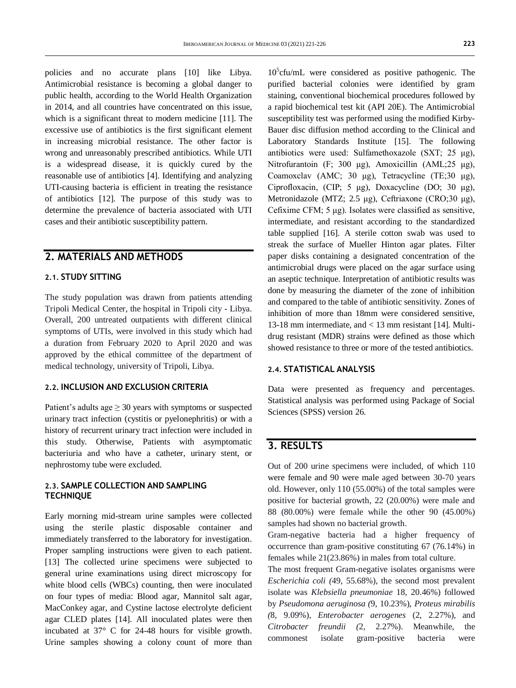policies and no accurate plans [10] like Libya. Antimicrobial resistance is becoming a global danger to public health, according to the World Health Organization in 2014, and all countries have concentrated on this issue, which is a significant threat to modern medicine [11]. The excessive use of antibiotics is the first significant element in increasing microbial resistance. The other factor is wrong and unreasonably prescribed antibiotics. While UTI is a widespread disease, it is quickly cured by the reasonable use of antibiotics [\[4\]](https://www.ncbi.nlm.nih.gov/pmc/articles/PMC5629843/#ref2). Identifying and analyzing UTI-causing bacteria is efficient in treating the resistance of antibiotics [12]. The purpose of this study was to determine the prevalence of bacteria associated with UTI cases and their antibiotic susceptibility pattern.

### **2. MATERIALS AND METHODS**

#### **2.1. STUDY SITTING**

The study population was drawn from patients attending Tripoli Medical Center, the hospital in Tripoli city - Libya. Overall, 200 untreated outpatients with different clinical symptoms of UTIs, were involved in this study which had a duration from February 2020 to April 2020 and was approved by the ethical committee of the department of medical technology, university of Tripoli, Libya.

#### **2.2. INCLUSION AND EXCLUSION CRITERIA**

Patient's adults age ≥ 30 years with symptoms or suspected urinary tract infection (cystitis or pyelonephritis) or with a history of recurrent urinary tract infection were included in this study. Otherwise, Patients with asymptomatic bacteriuria and who have a catheter, urinary stent, or nephrostomy tube were excluded.

#### **2.3. SAMPLE COLLECTION AND SAMPLING TECHNIQUE**

Early morning mid-stream urine samples were collected using the sterile plastic disposable container and immediately transferred to the laboratory for investigation. Proper sampling instructions were given to each patient. [13] The collected urine specimens were subjected to general urine examinations using direct microscopy for white blood cells (WBCs) counting, then were inoculated on four types of media: Blood agar, Mannitol salt agar, MacConkey agar, and Cystine lactose electrolyte deficient agar CLED plates [14]. All inoculated plates were then incubated at 37° C for 24-48 hours for visible growth. Urine samples showing a colony count of more than

10<sup>5</sup> cfu/mL were considered as positive pathogenic. The purified bacterial colonies were identified by gram staining, conventional biochemical procedures followed by a rapid biochemical test kit (API 20E). The Antimicrobial susceptibility test was performed using the modified Kirby-Bauer disc diffusion method according to the Clinical and Laboratory Standards Institute [15]. The following antibiotics were used: Sulfamethoxazole (SXT; 25 μg), Nitrofurantoin (F; 300 μg), Amoxicillin (AML;25 μg), Coamoxclav (AMC; 30 μg), Tetracycline (TE;30 μg), Ciprofloxacin, (CIP; 5 μg), Doxacycline (DO; 30 μg), Metronidazole (MTZ; 2.5 μg), Ceftriaxone (CRO;30 μg), Cefixime CFM; 5 μg). Isolates were classified as sensitive, intermediate, and resistant according to the standardized table supplied [16]. A sterile cotton swab was used to streak the surface of Mueller Hinton agar plates. Filter paper disks containing a designated concentration of the antimicrobial drugs were placed on the agar surface using an aseptic technique. Interpretation of antibiotic results was done by measuring the diameter of the zone of inhibition and compared to the table of antibiotic sensitivity. Zones of inhibition of more than 18mm were considered sensitive, 13-18 mm intermediate, and < 13 mm resistant [14]. Multidrug resistant (MDR) strains were defined as those which showed resistance to three or more of the tested antibiotics.

#### **2.4. STATISTICAL ANALYSIS**

Data were presented as frequency and percentages. Statistical analysis was performed using Package of Social Sciences (SPSS) version 26.

## **3. RESULTS**

Out of 200 urine specimens were included, of which 110 were female and 90 were male aged between 30-70 years old. However, only 110 (55.00%) of the total samples were positive for bacterial growth, 22 (20.00%) were male and 88 (80.00%) were female while the other 90 (45.00%) samples had shown no bacterial growth.

Gram-negative bacteria had a higher frequency of occurrence than gram-positive constituting 67 (76.14%) in females while 21(23.86%) in males from total culture.

The most frequent Gram-negative isolates organisms were *Escherichia coli (*49, 55.68%), the second most prevalent isolate was *Klebsiella pneumoniae* 18, 20.46%) followed by *Pseudomona aeruginosa (*9, 10.23%), *Proteus mirabilis (*8, 9.09%), *Enterobacter aerogenes* (2, 2.27%), and *Citrobacter freundii (*2, 2.27%). Meanwhile, the commonest isolate gram-positive bacteria were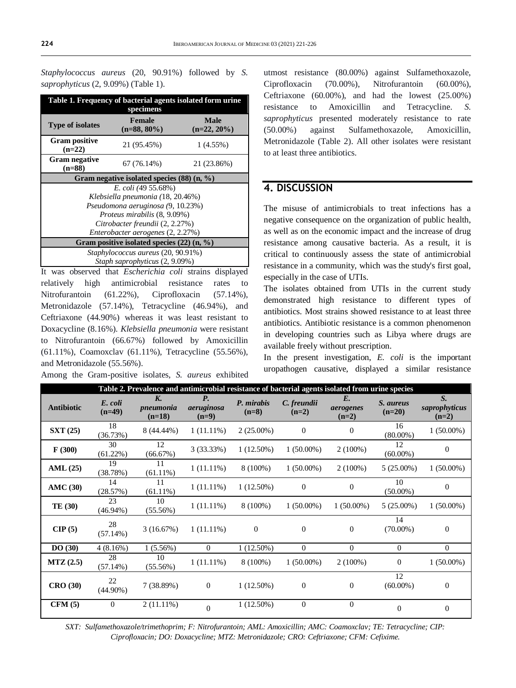*Staphylococcus aureus* (20, 90.91%) followed by *S. saprophyticus* (2, 9.09%) (Table 1).

| Table 1. Frequency of bacterial agents isolated form urine<br>specimens |                                 |                               |  |  |  |  |  |  |
|-------------------------------------------------------------------------|---------------------------------|-------------------------------|--|--|--|--|--|--|
| Type of isolates                                                        | <b>Female</b><br>$(n=88, 80\%)$ | <b>Male</b><br>$(n=22, 20\%)$ |  |  |  |  |  |  |
| <b>Gram positive</b><br>$(n=22)$                                        | 21 (95.45%)                     | $1(4.55\%)$                   |  |  |  |  |  |  |
| <b>Gram negative</b><br>$(n=88)$                                        | 67(76.14%)                      | 21 (23.86%)                   |  |  |  |  |  |  |
| Gram negative isolated species $(88)$ (n, %)                            |                                 |                               |  |  |  |  |  |  |
| E. coli (49 55.68%)                                                     |                                 |                               |  |  |  |  |  |  |
| Klebsiella pneumonia (18, 20.46%)                                       |                                 |                               |  |  |  |  |  |  |
| Pseudomona aeruginosa (9, 10.23%)                                       |                                 |                               |  |  |  |  |  |  |
| <i>Proteus mirabilis</i> (8, 9.09%)                                     |                                 |                               |  |  |  |  |  |  |
| Citrobacter freundii (2, 2.27%)                                         |                                 |                               |  |  |  |  |  |  |
| Enterobacter aerogenes (2, 2.27%)                                       |                                 |                               |  |  |  |  |  |  |
| Gram positive isolated species $(22)$ (n, %)                            |                                 |                               |  |  |  |  |  |  |
| Staphylococcus aureus (20, 90.91%)                                      |                                 |                               |  |  |  |  |  |  |
| Staph saprophyticus (2, 9.09%)                                          |                                 |                               |  |  |  |  |  |  |

It was observed that *Escherichia coli* strains displayed relatively high antimicrobial resistance rates to Nitrofurantoin (61.22%), Ciprofloxacin (57.14%), Metronidazole (57.14%), Tetracycline (46.94%), and Ceftriaxone (44.90%) whereas it was least resistant to Doxacycline (8.16%). *Klebsiella pneumonia* were resistant to Nitrofurantoin (66.67%) followed by Amoxicillin (61.11%), Coamoxclav (61.11%), Tetracycline (55.56%), and Metronidazole (55.56%).

Among the Gram-positive isolates, *S. aureus* exhibited

utmost resistance (80.00%) against Sulfamethoxazole, Ciprofloxacin (70.00%), Nitrofurantoin (60.00%), Ceftriaxone (60.00%), and had the lowest (25.00%) resistance to Amoxicillin and Tetracycline. *S. saprophyticus* presented moderately resistance to rate (50.00%) against Sulfamethoxazole, Amoxicillin, Metronidazole (Table 2). All other isolates were resistant to at least three antibiotics.

## **4. DISCUSSION**

The misuse of antimicrobials to treat infections has a negative consequence on the organization of public health, as well as on the economic impact and the increase of drug resistance among causative bacteria. As a result, it is critical to continuously assess the state of antimicrobial resistance in a community, which was the study's first goal, especially in the case of UTIs.

The isolates obtained from UTIs in the current study demonstrated high resistance to different types of antibiotics. Most strains showed resistance to at least three antibiotics. Antibiotic resistance is a common phenomenon in developing countries such as Libya where drugs are available freely without prescription.

In the present investigation, *E. coli* is the important uropathogen causative, displayed a similar resistance

| Table 2. Prevalence and antimicrobial resistance of bacterial agents isolated from urine species |                     |                             |                                    |                       |                        |                                     |                       |                                         |  |
|--------------------------------------------------------------------------------------------------|---------------------|-----------------------------|------------------------------------|-----------------------|------------------------|-------------------------------------|-----------------------|-----------------------------------------|--|
| Antibiotic                                                                                       | E. coli<br>$(n=49)$ | K.<br>pneumonia<br>$(n=18)$ | <b>P.</b><br>aeruginosa<br>$(n=9)$ | P. mirabis<br>$(n=8)$ | C. freundii<br>$(n=2)$ | $E_{\cdot}$<br>aerogenes<br>$(n=2)$ | S. aureus<br>$(n=20)$ | $S_{\cdot}$<br>saprophyticus<br>$(n=2)$ |  |
| SXT(25)                                                                                          | 18<br>(36.73%)      | 8 (44.44%)                  | $1(11.11\%)$                       | $2(25.00\%)$          | $\Omega$               | $\overline{0}$                      | 16<br>$(80.00\%)$     | $1(50.00\%)$                            |  |
| F(300)                                                                                           | 30<br>$(61.22\%)$   | 12<br>(66.67%)              | 3 (33.33%)                         | $1(12.50\%)$          | $1(50.00\%)$           | $2(100\%)$                          | 12<br>$(60.00\%)$     | $\overline{0}$                          |  |
| AML(25)                                                                                          | 19<br>(38.78%)      | 11<br>$(61.11\%)$           | $1(11.11\%)$                       | 8 (100%)              | $1(50.00\%)$           | $2(100\%)$                          | $5(25.00\%)$          | $1(50.00\%)$                            |  |
| AMC(30)                                                                                          | 14<br>(28.57%)      | 11<br>$(61.11\%)$           | $1(11.11\%)$                       | $1(12.50\%)$          | $\mathbf{0}$           | $\mathbf{0}$                        | 10<br>$(50.00\%)$     | $\mathbf{0}$                            |  |
| <b>TE</b> (30)                                                                                   | 23<br>$(46.94\%)$   | 10<br>$(55.56\%)$           | $1(11.11\%)$                       | $8(100\%)$            | $1(50.00\%)$           | $1(50.00\%)$                        | $5(25.00\%)$          | $1(50.00\%)$                            |  |
| CIP(5)                                                                                           | 28<br>(57.14%)      | 3(16.67%)                   | $1(11.11\%)$                       | $\theta$              | $\mathbf{0}$           | $\mathbf{0}$                        | 14<br>$(70.00\%)$     | $\mathbf{0}$                            |  |
| DO(30)                                                                                           | 4(8.16%)            | 1(5.56%)                    | $\Omega$                           | $1(12.50\%)$          | $\overline{0}$         | $\theta$                            | $\Omega$              | $\Omega$                                |  |
| MTZ(2.5)                                                                                         | 28<br>(57.14%)      | 10<br>(55.56%)              | $1(11.11\%)$                       | 8 (100%)              | $1(50.00\%)$           | $2(100\%)$                          | $\theta$              | $1(50.00\%)$                            |  |
| <b>CRO</b> (30)                                                                                  | 22<br>$(44.90\%)$   | 7 (38.89%)                  | $\mathbf{0}$                       | $1(12.50\%)$          | $\boldsymbol{0}$       | $\boldsymbol{0}$                    | 12<br>$(60.00\%)$     | $\theta$                                |  |
| CFM(5)                                                                                           | $\theta$            | $2(11.11\%)$                | $\Omega$                           | 1(12.50%)             | $\theta$               | $\boldsymbol{0}$                    | $\Omega$              | $\theta$                                |  |

*SXT: Sulfamethoxazole/trimethoprim; F: Nitrofurantoin; AML: Amoxicillin; AMC: Coamoxclav; TE: Tetracycline; CIP: Ciprofloxacin; DO: Doxacycline; MTZ: Metronidazole; CRO: Ceftriaxone; CFM: Cefixime.*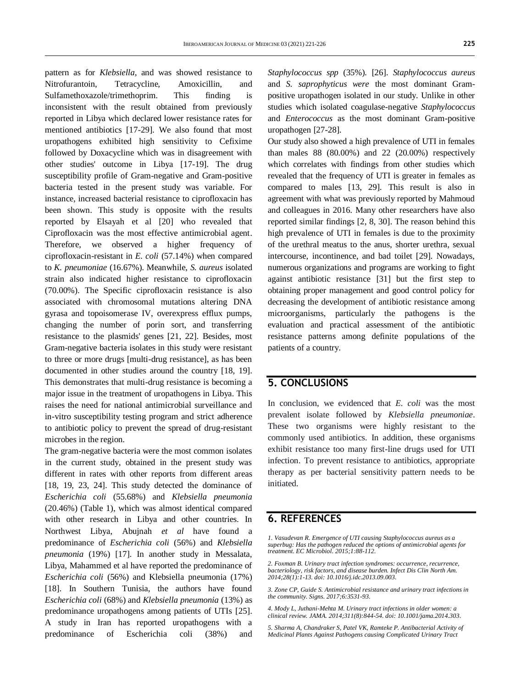pattern as for *Klebsiella*, and was showed resistance to Nitrofurantoin, Tetracycline, Amoxicillin, and Sulfamethoxazole/trimethoprim. This finding is inconsistent with the result obtained from previously reported in Libya which declared lower resistance rates for mentioned antibiotics [17-29]. We also found that most uropathogens exhibited high sensitivity to Cefixime followed by Doxacycline which was in disagreement with other studies' outcome in Libya [17-19]. The drug susceptibility profile of Gram-negative and Gram-positive bacteria tested in the present study was variable. For instance, increased bacterial resistance to ciprofloxacin has been shown. This study is opposite with the results reported by Elsayah et al [20] who revealed that Ciprofloxacin was the most effective antimicrobial agent. Therefore, we observed a higher frequency of ciprofloxacin-resistant in *E. coli* (57.14%) when compared to *K. pneumoniae* (16.67%). Meanwhile, *S. aureus* isolated strain also indicated higher resistance to ciprofloxacin (70.00%). The Specific ciprofloxacin resistance is also associated with chromosomal mutations altering DNA gyrasa and topoisomerase IV, overexpress efflux pumps, changing the number of porin sort, and transferring resistance to the plasmids' genes [21, 22]. Besides, most Gram-negative bacteria isolates in this study were resistant to three or more drugs [multi-drug resistance], as has been documented in other studies around the country [18, 19]. This demonstrates that multi-drug resistance is becoming a major issue in the treatment of uropathogens in Libya. This raises the need for national antimicrobial surveillance and in-vitro susceptibility testing program and strict adherence to antibiotic policy to prevent the spread of drug-resistant microbes in the region.

The gram-negative bacteria were the most common isolates in the current study, obtained in the present study was different in rates with other reports from different areas [18, 19, 23, 24]. This study detected the dominance of *Escherichia coli* (55.68%) and *Klebsiella pneumonia* (20.46%) (Table 1), which was almost identical compared with other research in Libya and other countries. In Northwest Libya, Abujnah *et al* have found a predominance of *Escherichia coli* (56%) and *Klebsiella pneumonia* (19%) [17]. In another study in Messalata, Libya, Mahammed et al have reported the predominance of *Escherichia coli* (56%) and Klebsiella pneumonia (17%) [18]. In Southern Tunisia, the authors have found *Escherichia coli* (68%) and *Klebsiella pneumonia* (13%) as predominance uropathogens among patients of UTIs [25]. A study in Iran has reported uropathogens with a predominance of Escherichia coli (38%) and

*Staphylococcus spp* (35%). [26]. *Staphylococcus aureus* and *S. saprophyticus were* the most dominant Grampositive uropathogen isolated in our study. Unlike in other studies which isolated coagulase-negative *Staphylococcus* and *Enterococcus* as the most dominant Gram-positive uropathogen [27-28].

Our study also showed a high prevalence of UTI in females than males  $88$   $(80.00\%)$  and  $22$   $(20.00\%)$  respectively which correlates with findings from other studies which revealed that the frequency of UTI is greater in females as compared to males [13, 29]. This result is also in agreement with what was previously reported by Mahmoud and colleagues in 2016. Many other researchers have also reported similar findings [2, 8, 30]. The reason behind this high prevalence of UTI in females is due to the proximity of the urethral meatus to the anus, shorter urethra, sexual intercourse, incontinence, and bad toilet [29]. Nowadays, numerous organizations and programs are working to fight against antibiotic resistance [31] but the first step to obtaining proper management and good control policy for decreasing the development of antibiotic resistance among microorganisms, particularly the pathogens is the evaluation and practical assessment of the antibiotic resistance patterns among definite populations of the patients of a country.

### **5. CONCLUSIONS**

In conclusion, we evidenced that *E. coli* was the most prevalent isolate followed by *Klebsiella pneumoniae*. These two organisms were highly resistant to the commonly used antibiotics. In addition, these organisms exhibit resistance too many first-line drugs used for UTI infection. To prevent resistance to antibiotics, appropriate therapy as per bacterial sensitivity pattern needs to be initiated.

### **6. REFERENCES**

*1. Vasudevan R. Emergence of UTI causing Staphylococcus aureus as a superbug: Has the pathogen reduced the options of antimicrobial agents for treatment. EC Microbiol. 2015;1:88-112.*

*2. Foxman B. Urinary tract infection syndromes: occurrence, recurrence, bacteriology, risk factors, and disease burden. Infect Dis Clin North Am. 2014;28(1):1-13. doi[: 10.1016/j.idc.2013.09.003.](https://doi.org/10.1016/j.idc.2013.09.003)*

*3. Zone CP, Guide S. Antimicrobial resistance and urinary tract infections in the community. Signs. 2017;6:3531-93.*

*4. Mody L, Juthani-Mehta M. Urinary tract infections in older women: a clinical review. JAMA. 2014;311(8):844-54. doi[: 10.1001/jama.2014.303.](https://doi.org/10.1001/jama.2014.303)*

*5. Sharma A, Chandraker S, Patel VK, Ramteke P. Antibacterial Activity of Medicinal Plants Against Pathogens causing Complicated Urinary Tract*